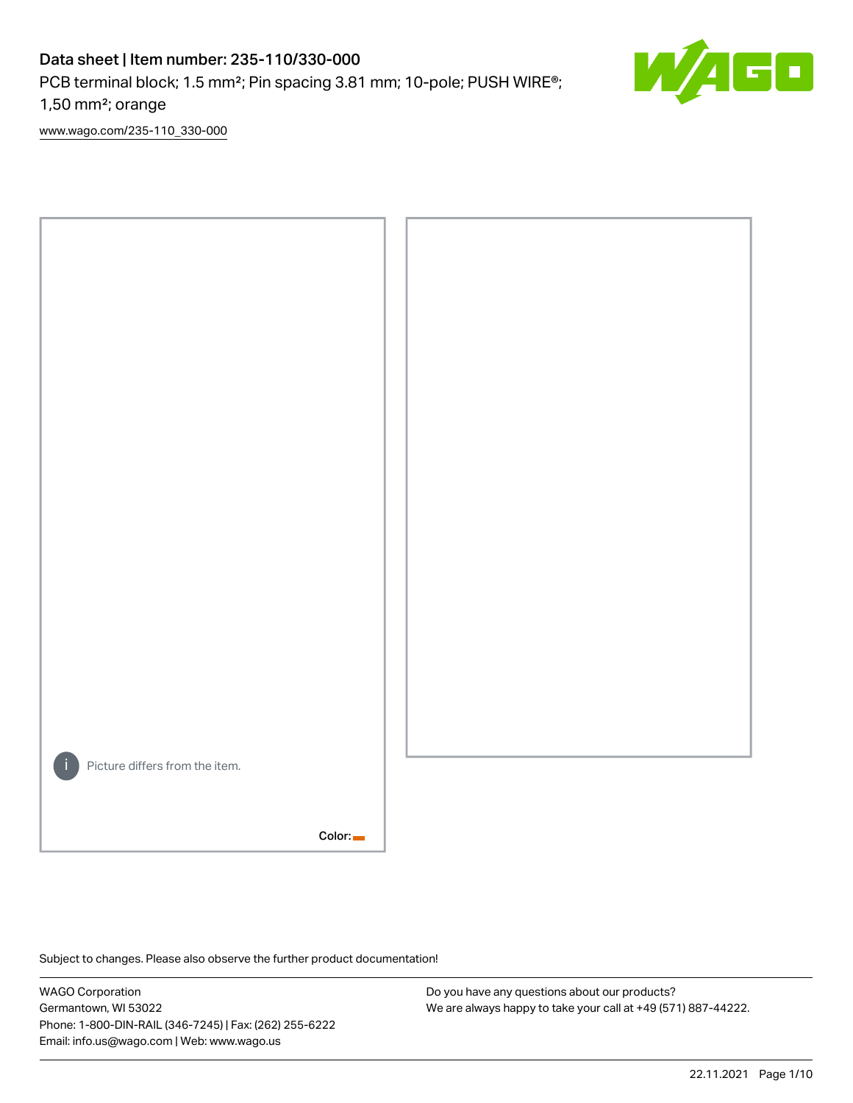# Data sheet | Item number: 235-110/330-000

PCB terminal block; 1.5 mm<sup>2</sup>; Pin spacing 3.81 mm; 10-pole; PUSH WIRE<sup>®</sup>;

1,50 mm²; orange

[www.wago.com/235-110\\_330-000](http://www.wago.com/235-110_330-000)



Subject to changes. Please also observe the further product documentation!

WAGO Corporation Germantown, WI 53022 Phone: 1-800-DIN-RAIL (346-7245) | Fax: (262) 255-6222 Email: info.us@wago.com | Web: www.wago.us

Do you have any questions about our products? We are always happy to take your call at +49 (571) 887-44222. E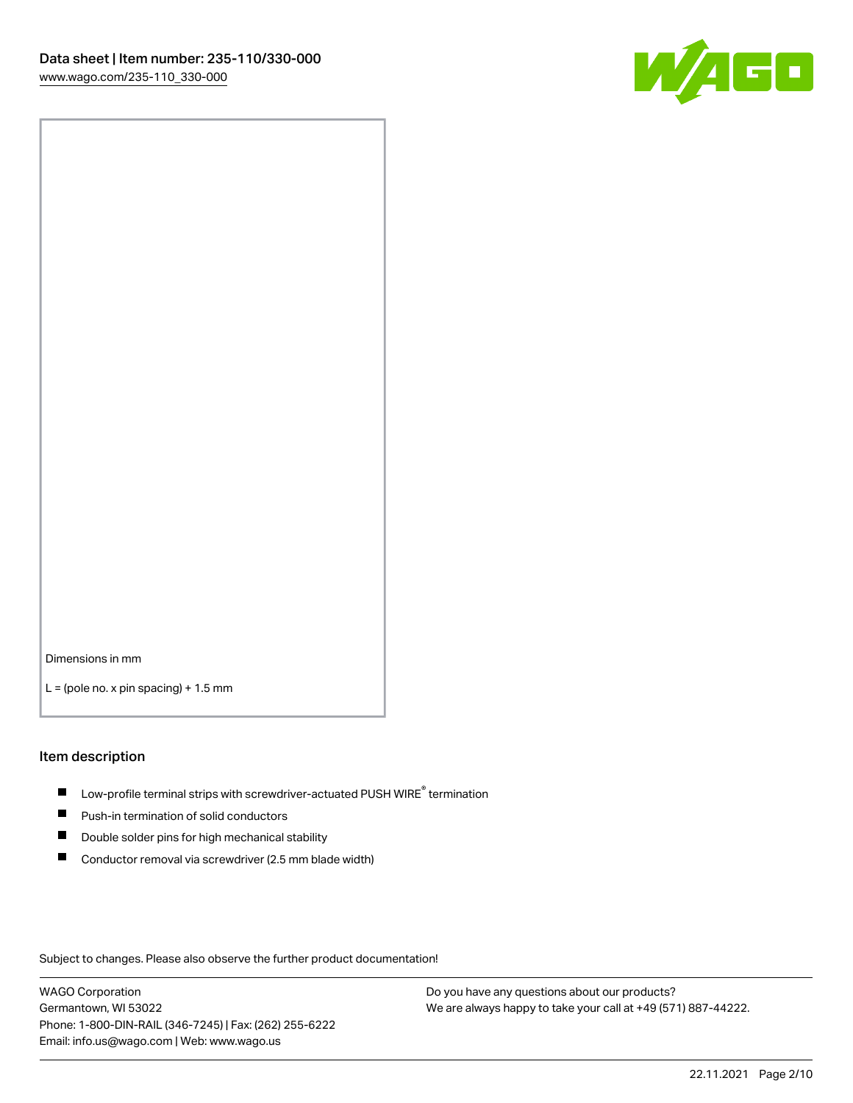

Dimensions in mm

 $L =$  (pole no. x pin spacing) + 1.5 mm

#### Item description

- $\blacksquare$  Low-profile terminal strips with screwdriver-actuated PUSH WIRE<sup>®</sup> termination
- **Push-in termination of solid conductors**
- $\blacksquare$ Double solder pins for high mechanical stability
- П Conductor removal via screwdriver (2.5 mm blade width)

Subject to changes. Please also observe the further product documentation!

WAGO Corporation Germantown, WI 53022 Phone: 1-800-DIN-RAIL (346-7245) | Fax: (262) 255-6222 Email: info.us@wago.com | Web: www.wago.us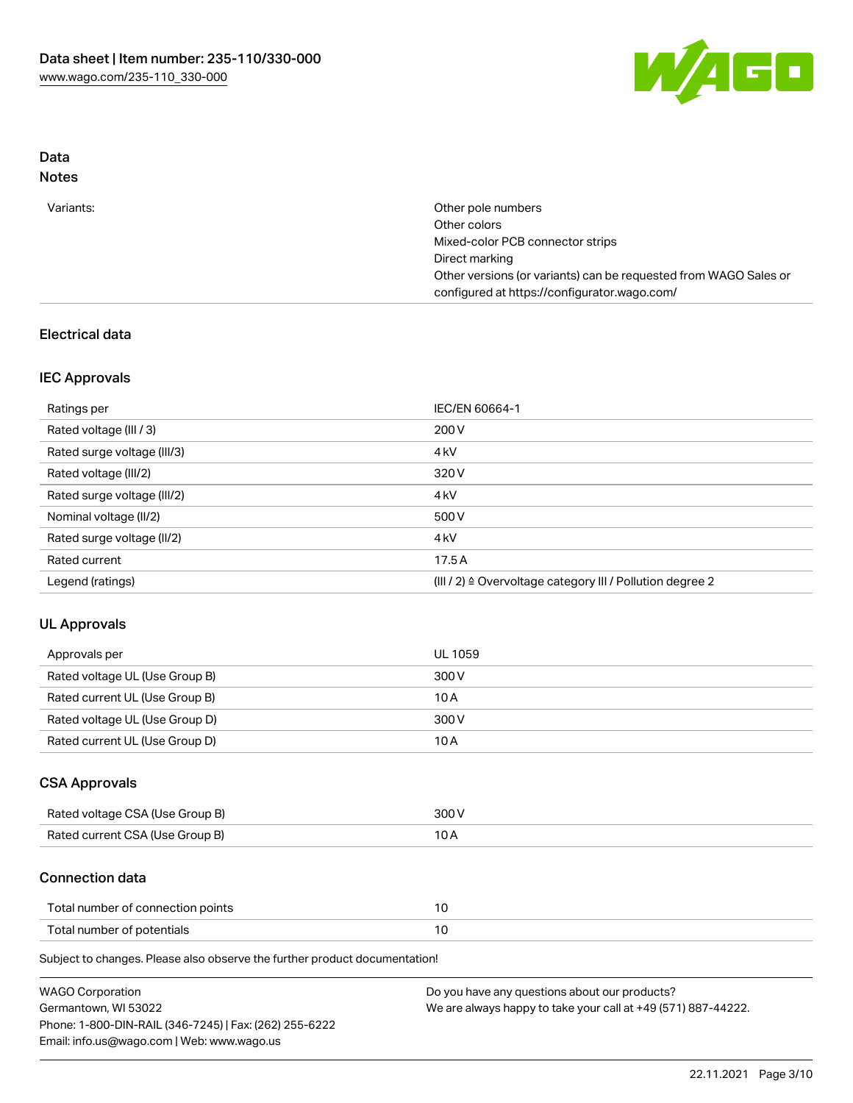

# Data Notes

| Variants: | Other pole numbers                                               |
|-----------|------------------------------------------------------------------|
|           | Other colors                                                     |
|           | Mixed-color PCB connector strips                                 |
|           | Direct marking                                                   |
|           | Other versions (or variants) can be requested from WAGO Sales or |
|           | configured at https://configurator.wago.com/                     |

# Electrical data

# IEC Approvals

| Ratings per                 | IEC/EN 60664-1                                                        |
|-----------------------------|-----------------------------------------------------------------------|
| Rated voltage (III / 3)     | 200 V                                                                 |
| Rated surge voltage (III/3) | 4 <sub>k</sub> V                                                      |
| Rated voltage (III/2)       | 320 V                                                                 |
| Rated surge voltage (III/2) | 4 <sub>k</sub> V                                                      |
| Nominal voltage (II/2)      | 500 V                                                                 |
| Rated surge voltage (II/2)  | 4 <sub>k</sub> V                                                      |
| Rated current               | 17.5A                                                                 |
| Legend (ratings)            | $(III / 2)$ $\triangle$ Overvoltage category III / Pollution degree 2 |

# UL Approvals

| Approvals per                  | UL 1059 |
|--------------------------------|---------|
| Rated voltage UL (Use Group B) | 300 V   |
| Rated current UL (Use Group B) | 10 A    |
| Rated voltage UL (Use Group D) | 300 V   |
| Rated current UL (Use Group D) | 10 A    |

## CSA Approvals

| Rated voltage CSA (Use Group B) | 300 V |
|---------------------------------|-------|
| Rated current CSA (Use Group B) |       |

## Connection data

| Total number of connection points |  |
|-----------------------------------|--|
| Total number of potentials        |  |

Subject to changes. Please also observe the further product documentation!

| <b>WAGO Corporation</b>                                | Do you have any questions about our products?                 |
|--------------------------------------------------------|---------------------------------------------------------------|
| Germantown, WI 53022                                   | We are always happy to take your call at +49 (571) 887-44222. |
| Phone: 1-800-DIN-RAIL (346-7245)   Fax: (262) 255-6222 |                                                               |
| Email: info.us@wago.com   Web: www.wago.us             |                                                               |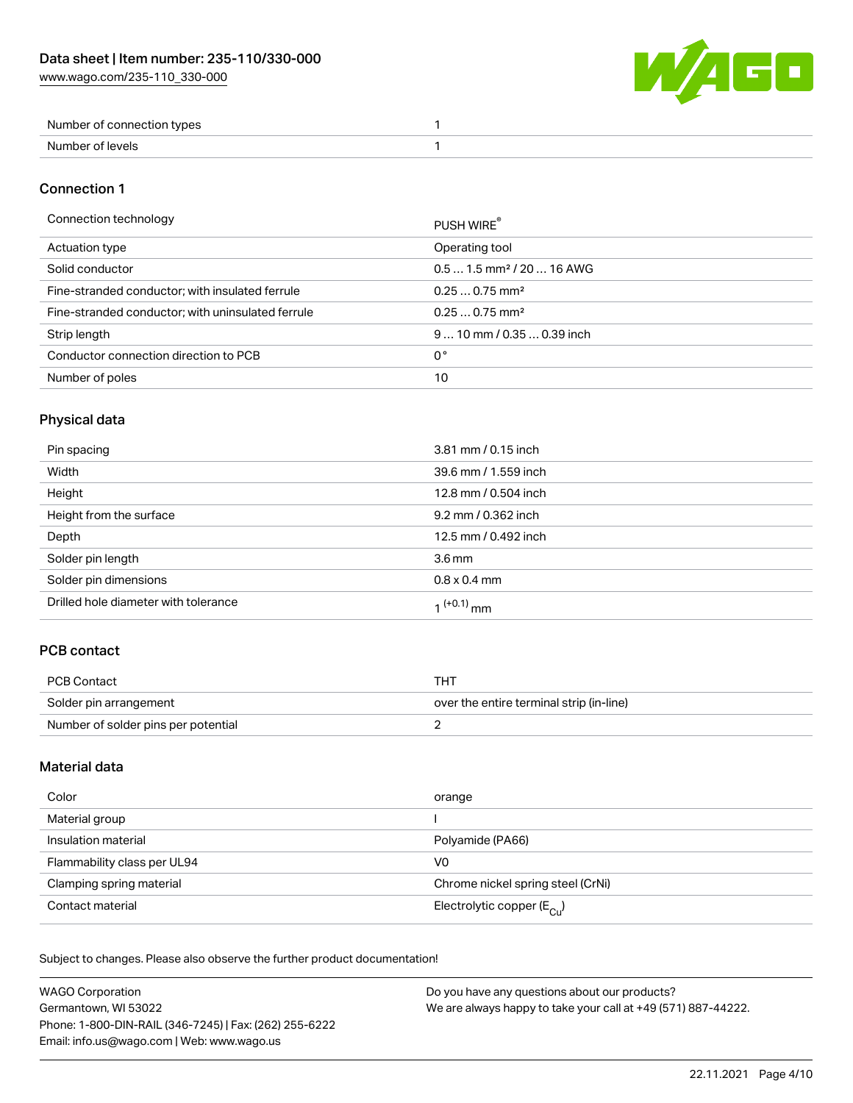

| Number of connection types |  |
|----------------------------|--|
| Number of levels           |  |

## Connection 1

#### Connection technology PUSH WIRE®

| ັ                                                 | PUSH WIRE                             |
|---------------------------------------------------|---------------------------------------|
| Actuation type                                    | Operating tool                        |
| Solid conductor                                   | $0.51.5$ mm <sup>2</sup> / 20  16 AWG |
| Fine-stranded conductor; with insulated ferrule   | $0.250.75$ mm <sup>2</sup>            |
| Fine-stranded conductor; with uninsulated ferrule | $0.250.75$ mm <sup>2</sup>            |
| Strip length                                      | $910$ mm $/0.350.39$ inch             |
| Conductor connection direction to PCB             | 0°                                    |
| Number of poles                                   | 10                                    |
|                                                   |                                       |

# Physical data

| Pin spacing                          | 3.81 mm / 0.15 inch  |
|--------------------------------------|----------------------|
| Width                                | 39.6 mm / 1.559 inch |
| Height                               | 12.8 mm / 0.504 inch |
| Height from the surface              | 9.2 mm / 0.362 inch  |
| Depth                                | 12.5 mm / 0.492 inch |
| Solder pin length                    | 3.6 <sub>mm</sub>    |
| Solder pin dimensions                | $0.8 \times 0.4$ mm  |
| Drilled hole diameter with tolerance | $1^{(+0.1)}$ mm      |

# PCB contact

| PCB Contact                         | тнт                                      |
|-------------------------------------|------------------------------------------|
| Solder pin arrangement              | over the entire terminal strip (in-line) |
| Number of solder pins per potential |                                          |

# Material data

| Color                       | orange                                  |
|-----------------------------|-----------------------------------------|
| Material group              |                                         |
| Insulation material         | Polyamide (PA66)                        |
| Flammability class per UL94 | V <sub>0</sub>                          |
| Clamping spring material    | Chrome nickel spring steel (CrNi)       |
| Contact material            | Electrolytic copper ( $E_{\text{Cl}}$ ) |

Subject to changes. Please also observe the further product documentation!

| <b>WAGO Corporation</b>                                | Do you have any questions about our products?                 |
|--------------------------------------------------------|---------------------------------------------------------------|
| Germantown, WI 53022                                   | We are always happy to take your call at +49 (571) 887-44222. |
| Phone: 1-800-DIN-RAIL (346-7245)   Fax: (262) 255-6222 |                                                               |
| Email: info.us@wago.com   Web: www.wago.us             |                                                               |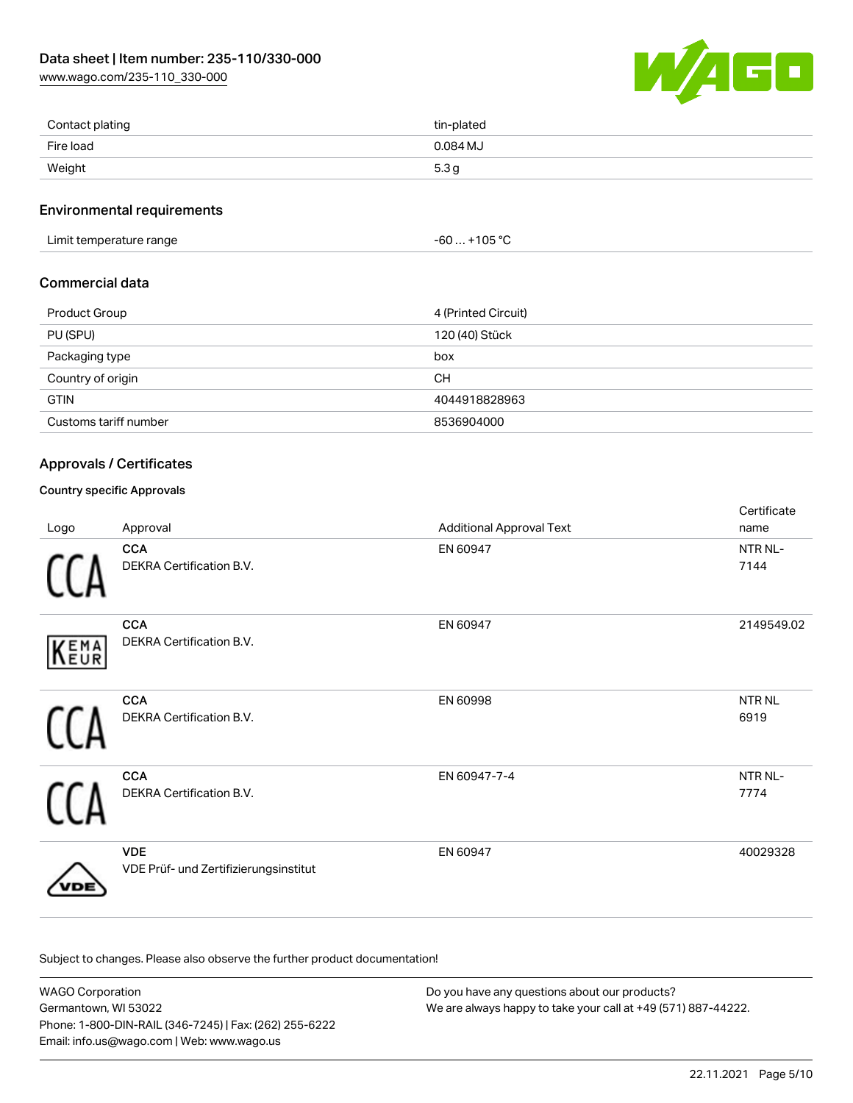[www.wago.com/235-110\\_330-000](http://www.wago.com/235-110_330-000)



| Contact plating | tin-plated       |
|-----------------|------------------|
| Fire load       | 0.084 MJ         |
| Weight          | 5.3 <sub>g</sub> |

#### Environmental requirements

Limit temperature range  $-60...+105$  °C

# Commercial data

| Product Group         | 4 (Printed Circuit) |
|-----------------------|---------------------|
| PU (SPU)              | 120 (40) Stück      |
| Packaging type        | box                 |
| Country of origin     | <b>CH</b>           |
| <b>GTIN</b>           | 4044918828963       |
| Customs tariff number | 8536904000          |

## Approvals / Certificates

## Country specific Approvals

| Logo | Approval                                            | <b>Additional Approval Text</b> | Certificate<br>name   |
|------|-----------------------------------------------------|---------------------------------|-----------------------|
|      | <b>CCA</b><br>DEKRA Certification B.V.              | EN 60947                        | NTR NL-<br>7144       |
| KEMA | <b>CCA</b><br>DEKRA Certification B.V.              | EN 60947                        | 2149549.02            |
|      | <b>CCA</b><br>DEKRA Certification B.V.              | EN 60998                        | <b>NTR NL</b><br>6919 |
|      | <b>CCA</b><br>DEKRA Certification B.V.              | EN 60947-7-4                    | NTR NL-<br>7774       |
|      | <b>VDE</b><br>VDE Prüf- und Zertifizierungsinstitut | EN 60947                        | 40029328              |

Subject to changes. Please also observe the further product documentation!

WAGO Corporation Germantown, WI 53022 Phone: 1-800-DIN-RAIL (346-7245) | Fax: (262) 255-6222 Email: info.us@wago.com | Web: www.wago.us Do you have any questions about our products? We are always happy to take your call at +49 (571) 887-44222.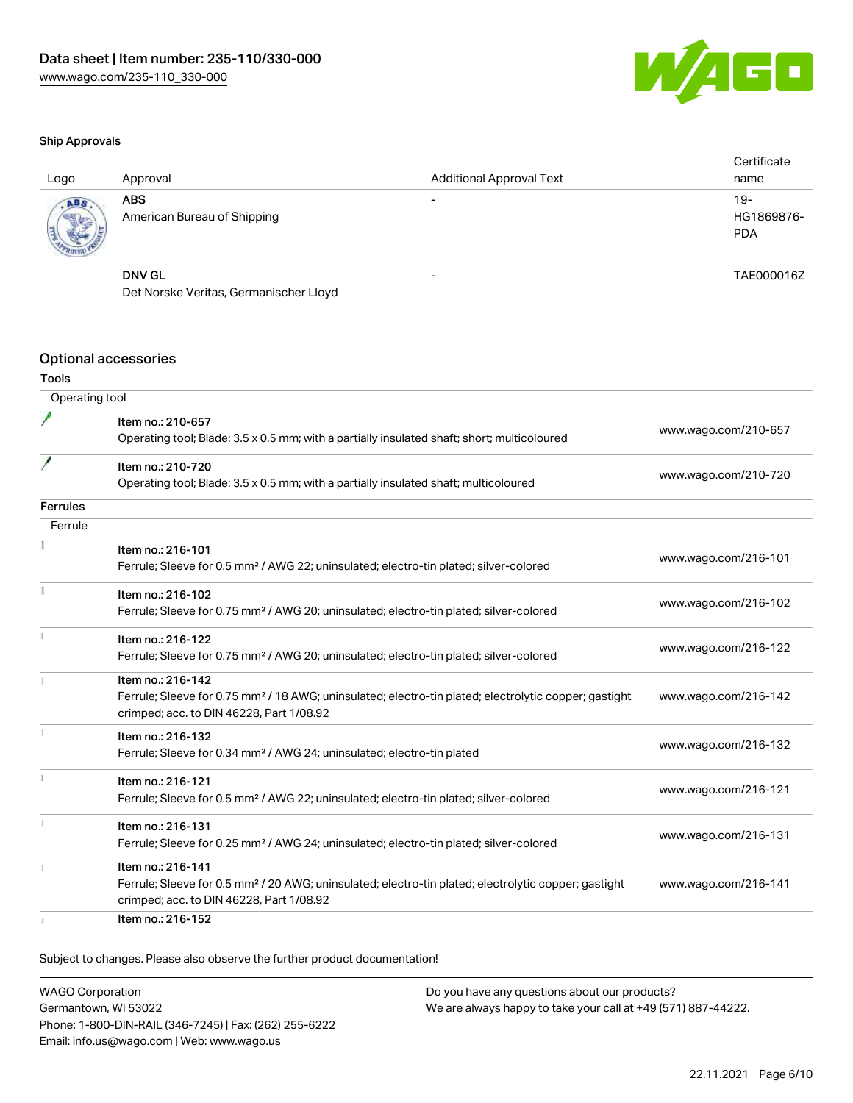

#### Ship Approvals

| Logo | Approval                                  | <b>Additional Approval Text</b> | Certificate<br>name               |
|------|-------------------------------------------|---------------------------------|-----------------------------------|
| ABS  | <b>ABS</b><br>American Bureau of Shipping |                                 | $19-$<br>HG1869876-<br><b>PDA</b> |
|      | DNV GL                                    | $\overline{\phantom{0}}$        | TAE000016Z                        |
|      | Det Norske Veritas, Germanischer Lloyd    |                                 |                                   |
|      |                                           |                                 |                                   |

#### Optional accessories

### Tools

| Operating tool  |                                                                                                                                                                                    |                      |
|-----------------|------------------------------------------------------------------------------------------------------------------------------------------------------------------------------------|----------------------|
|                 | Item no.: 210-657<br>Operating tool; Blade: 3.5 x 0.5 mm; with a partially insulated shaft; short; multicoloured                                                                   | www.wago.com/210-657 |
|                 | Item no.: 210-720<br>Operating tool; Blade: 3.5 x 0.5 mm; with a partially insulated shaft; multicoloured                                                                          | www.wago.com/210-720 |
| <b>Ferrules</b> |                                                                                                                                                                                    |                      |
| Ferrule         |                                                                                                                                                                                    |                      |
|                 | Item no.: 216-101<br>Ferrule; Sleeve for 0.5 mm <sup>2</sup> / AWG 22; uninsulated; electro-tin plated; silver-colored                                                             | www.wago.com/216-101 |
|                 | Item no.: 216-102<br>Ferrule; Sleeve for 0.75 mm <sup>2</sup> / AWG 20; uninsulated; electro-tin plated; silver-colored                                                            | www.wago.com/216-102 |
|                 | Item no.: 216-122<br>Ferrule; Sleeve for 0.75 mm <sup>2</sup> / AWG 20; uninsulated; electro-tin plated; silver-colored                                                            | www.wago.com/216-122 |
|                 | Item no.: 216-142<br>Ferrule; Sleeve for 0.75 mm <sup>2</sup> / 18 AWG; uninsulated; electro-tin plated; electrolytic copper; gastight<br>crimped; acc. to DIN 46228, Part 1/08.92 | www.wago.com/216-142 |
|                 | Item no.: 216-132<br>Ferrule; Sleeve for 0.34 mm <sup>2</sup> / AWG 24; uninsulated; electro-tin plated                                                                            | www.wago.com/216-132 |
|                 | Item no.: 216-121<br>Ferrule; Sleeve for 0.5 mm <sup>2</sup> / AWG 22; uninsulated; electro-tin plated; silver-colored                                                             | www.wago.com/216-121 |
|                 | Item no.: 216-131<br>Ferrule; Sleeve for 0.25 mm <sup>2</sup> / AWG 24; uninsulated; electro-tin plated; silver-colored                                                            | www.wago.com/216-131 |
|                 | Item no.: 216-141<br>Ferrule; Sleeve for 0.5 mm <sup>2</sup> / 20 AWG; uninsulated; electro-tin plated; electrolytic copper; gastight<br>crimped; acc. to DIN 46228, Part 1/08.92  | www.wago.com/216-141 |
|                 | Item no.: 216-152                                                                                                                                                                  |                      |

Subject to changes. Please also observe the further product documentation!

WAGO Corporation Germantown, WI 53022 Phone: 1-800-DIN-RAIL (346-7245) | Fax: (262) 255-6222 Email: info.us@wago.com | Web: www.wago.us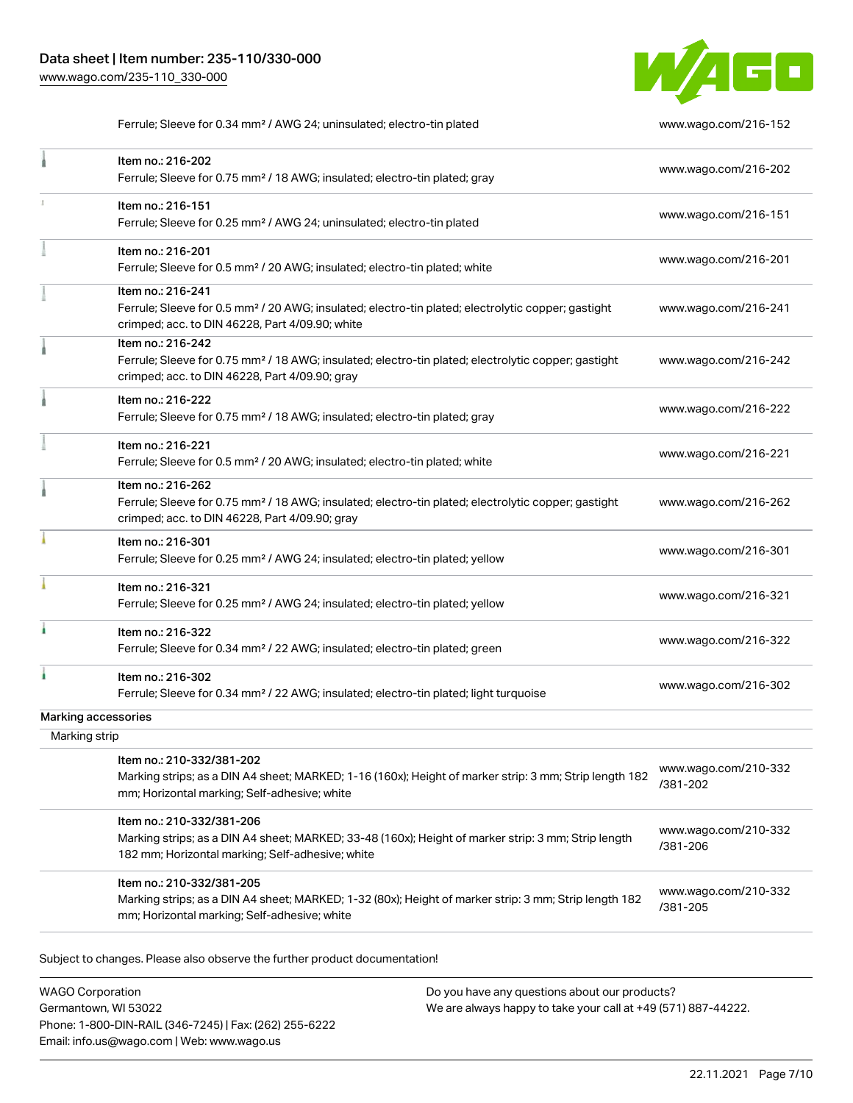

Ferrule; Sleeve for 0.34 mm² / AWG 24; uninsulated; electro-tin plated [www.wago.com/216-152](http://www.wago.com/216-152)

|               | Item no.: 216-202<br>Ferrule; Sleeve for 0.75 mm <sup>2</sup> / 18 AWG; insulated; electro-tin plated; gray                                                                            | www.wago.com/216-202             |
|---------------|----------------------------------------------------------------------------------------------------------------------------------------------------------------------------------------|----------------------------------|
|               | Item no.: 216-151<br>Ferrule; Sleeve for 0.25 mm <sup>2</sup> / AWG 24; uninsulated; electro-tin plated                                                                                | www.wago.com/216-151             |
|               | Item no.: 216-201<br>Ferrule; Sleeve for 0.5 mm <sup>2</sup> / 20 AWG; insulated; electro-tin plated; white                                                                            | www.wago.com/216-201             |
|               | Item no.: 216-241<br>Ferrule; Sleeve for 0.5 mm <sup>2</sup> / 20 AWG; insulated; electro-tin plated; electrolytic copper; gastight<br>crimped; acc. to DIN 46228, Part 4/09.90; white | www.wago.com/216-241             |
|               | Item no.: 216-242<br>Ferrule; Sleeve for 0.75 mm <sup>2</sup> / 18 AWG; insulated; electro-tin plated; electrolytic copper; gastight<br>crimped; acc. to DIN 46228, Part 4/09.90; gray | www.wago.com/216-242             |
|               | Item no.: 216-222<br>Ferrule; Sleeve for 0.75 mm <sup>2</sup> / 18 AWG; insulated; electro-tin plated; gray                                                                            | www.wago.com/216-222             |
|               | Item no.: 216-221<br>Ferrule; Sleeve for 0.5 mm <sup>2</sup> / 20 AWG; insulated; electro-tin plated; white                                                                            | www.wago.com/216-221             |
|               | Item no.: 216-262<br>Ferrule; Sleeve for 0.75 mm <sup>2</sup> / 18 AWG; insulated; electro-tin plated; electrolytic copper; gastight<br>crimped; acc. to DIN 46228, Part 4/09.90; gray | www.wago.com/216-262             |
|               | Item no.: 216-301<br>Ferrule; Sleeve for 0.25 mm <sup>2</sup> / AWG 24; insulated; electro-tin plated; yellow                                                                          | www.wago.com/216-301             |
|               | Item no.: 216-321<br>Ferrule; Sleeve for 0.25 mm <sup>2</sup> / AWG 24; insulated; electro-tin plated; yellow                                                                          | www.wago.com/216-321             |
|               | Item no.: 216-322<br>Ferrule; Sleeve for 0.34 mm <sup>2</sup> / 22 AWG; insulated; electro-tin plated; green                                                                           | www.wago.com/216-322             |
|               | Item no.: 216-302<br>Ferrule; Sleeve for 0.34 mm <sup>2</sup> / 22 AWG; insulated; electro-tin plated; light turquoise                                                                 | www.wago.com/216-302             |
|               | Marking accessories                                                                                                                                                                    |                                  |
| Marking strip |                                                                                                                                                                                        |                                  |
|               | Item no.: 210-332/381-202<br>Marking strips; as a DIN A4 sheet; MARKED; 1-16 (160x); Height of marker strip: 3 mm; Strip length 182<br>mm; Horizontal marking; Self-adhesive; white    | www.wago.com/210-332<br>/381-202 |
|               | Item no.: 210-332/381-206<br>Marking strips; as a DIN A4 sheet; MARKED; 33-48 (160x); Height of marker strip: 3 mm; Strip length<br>182 mm; Horizontal marking; Self-adhesive; white   | www.wago.com/210-332<br>/381-206 |
|               | Item no.: 210-332/381-205<br>Marking strips; as a DIN A4 sheet; MARKED; 1-32 (80x); Height of marker strip: 3 mm; Strip length 182                                                     | www.wago.com/210-332<br>/381-205 |

WAGO Corporation Germantown, WI 53022 Phone: 1-800-DIN-RAIL (346-7245) | Fax: (262) 255-6222 Email: info.us@wago.com | Web: www.wago.us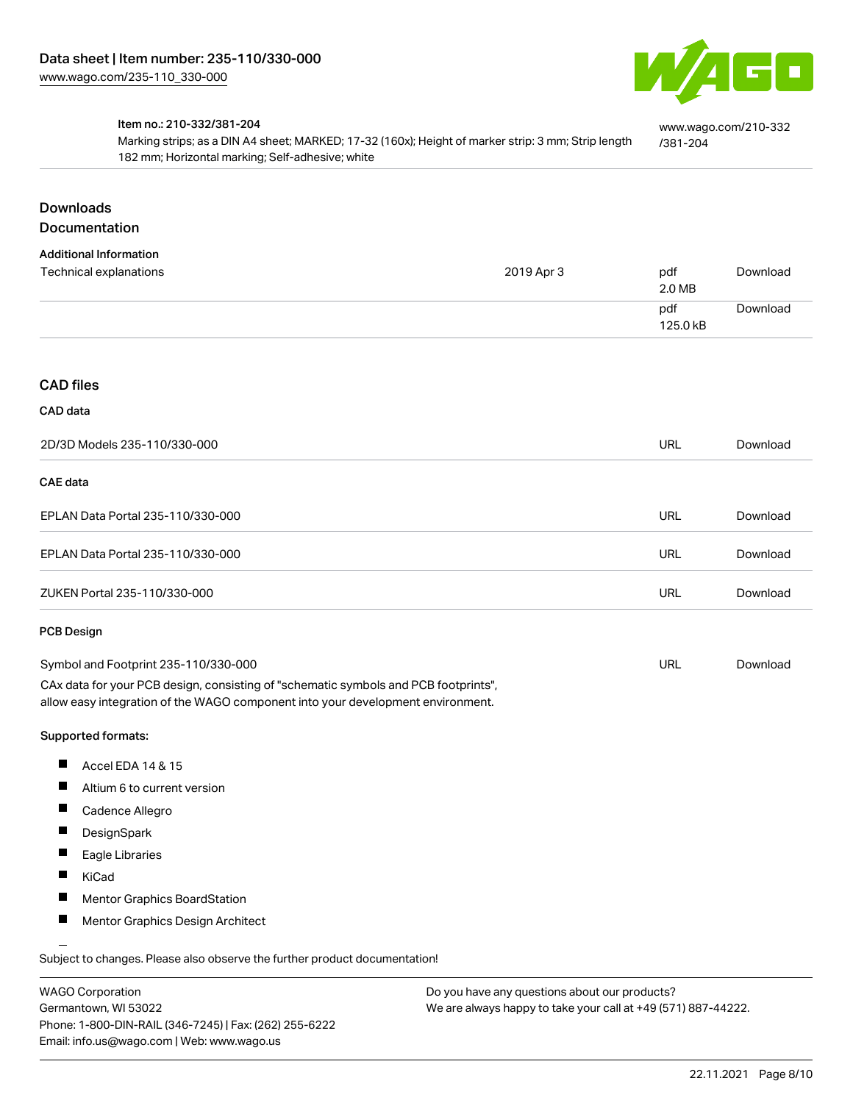

[www.wago.com/210-332](http://www.wago.com/210-332/381-204)

[/381-204](http://www.wago.com/210-332/381-204)

#### Item no.: 210-332/381-204

Marking strips; as a DIN A4 sheet; MARKED; 17-32 (160x); Height of marker strip: 3 mm; Strip length 182 mm; Horizontal marking; Self-adhesive; white

# Downloads

# Documentation

| <b>Additional Information</b> |            |          |          |
|-------------------------------|------------|----------|----------|
| Technical explanations        | 2019 Apr 3 | pdf      | Download |
|                               |            | 2.0 MB   |          |
|                               |            | pdf      | Download |
|                               |            | 125.0 kB |          |

#### CAD files

#### CAD data

| 2D/3D Models 235-110/330-000         | URL | Download |
|--------------------------------------|-----|----------|
| CAE data                             |     |          |
| EPLAN Data Portal 235-110/330-000    | URL | Download |
| EPLAN Data Portal 235-110/330-000    | URL | Download |
| ZUKEN Portal 235-110/330-000         | URL | Download |
| PCB Design                           |     |          |
| Symbol and Footprint 235-110/330-000 | URL | Download |

CAx data for your PCB design, consisting of "schematic symbols and PCB footprints", allow easy integration of the WAGO component into your development environment.

#### Supported formats:

- $\blacksquare$ Accel EDA 14 & 15
- $\blacksquare$ Altium 6 to current version
- $\blacksquare$ Cadence Allegro
- $\blacksquare$ **DesignSpark**
- $\blacksquare$ Eagle Libraries
- $\blacksquare$ KiCad
- $\blacksquare$ Mentor Graphics BoardStation
- $\blacksquare$ Mentor Graphics Design Architect

Subject to changes. Please also observe the further product documentation!

WAGO Corporation Germantown, WI 53022 Phone: 1-800-DIN-RAIL (346-7245) | Fax: (262) 255-6222 Email: info.us@wago.com | Web: www.wago.us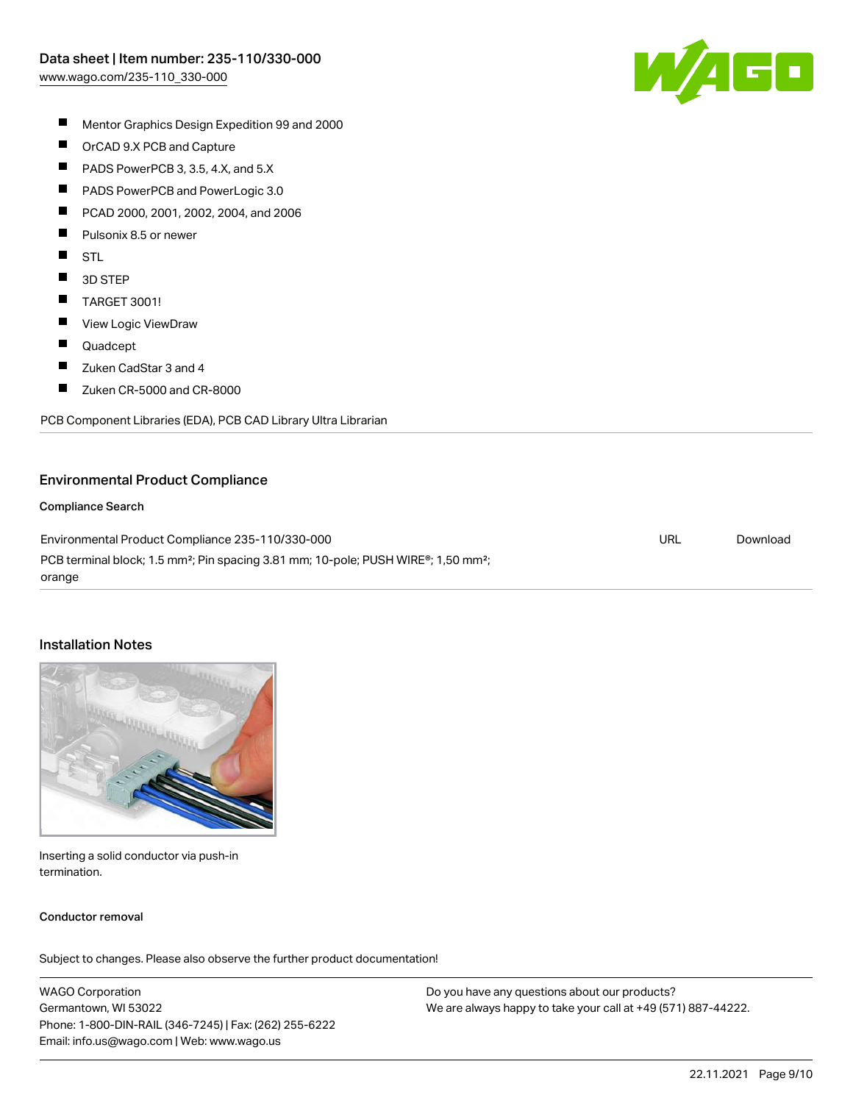

- $\blacksquare$ Mentor Graphics Design Expedition 99 and 2000
- $\blacksquare$ OrCAD 9.X PCB and Capture
- $\blacksquare$ PADS PowerPCB 3, 3.5, 4.X, and 5.X
- $\blacksquare$ PADS PowerPCB and PowerLogic 3.0
- П PCAD 2000, 2001, 2002, 2004, and 2006
- П Pulsonix 8.5 or newer
- $\blacksquare$ STL
- $\blacksquare$ 3D STEP
- $\blacksquare$ TARGET 3001!
- $\blacksquare$ View Logic ViewDraw
- $\blacksquare$ Quadcept
- П Zuken CadStar 3 and 4
- $\blacksquare$ Zuken CR-5000 and CR-8000

PCB Component Libraries (EDA), PCB CAD Library Ultra Librarian

#### Environmental Product Compliance

#### Compliance Search

Environmental Product Compliance 235-110/330-000 PCB terminal block; 1.5 mm<sup>2</sup>; Pin spacing 3.81 mm; 10-pole; PUSH WIRE®; 1,50 mm<sup>2</sup>; orange URL [Download](https://www.wago.com/global/d/ComplianceLinkMediaContainer_235-110_330-000)

#### Installation Notes



Inserting a solid conductor via push-in termination.

#### Conductor removal

Subject to changes. Please also observe the further product documentation!

WAGO Corporation Germantown, WI 53022 Phone: 1-800-DIN-RAIL (346-7245) | Fax: (262) 255-6222 Email: info.us@wago.com | Web: www.wago.us